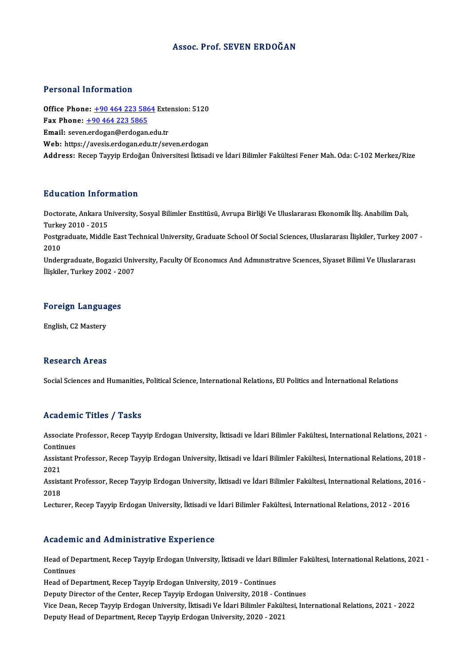#### Assoc. Prof. SEVEN ERDOĞAN

#### Personal Information

Personal Information<br>Office Phone: <u>+90 464 223 5864</u> Extension: 5120<br>Fax Phone: 190 464 222 5865 Fax Phone:  $\pm 90\,464\,223\,5865$ <br>Email: seven.erdogan@erdogan.edu.tr Office Phone: <u>+90 464 223 5864</u> Exte<br>Fax Phone: <u>+90 464 223 5865</u><br>Email: seve[n.erdogan@erdogan](tel:+90 464 223 5865)[.ed](tel:+90 464 223 5864)u.tr<br>Web: https://avesis.erdogan.edu.tr/set Web: https://avesis.erdogan.edu.tr/seven.erdogan Address: Recep Tayyip Erdoğan Üniversitesi İktisadi ve İdari Bilimler Fakültesi Fener Mah. Oda: C-102 Merkez/Rize

#### Education Information

**Education Information**<br>Doctorate, Ankara University, Sosyal Bilimler Enstitüsü, Avrupa Birliği Ve Uluslararası Ekonomik İliş. Anabilim Dalı,<br>Turkey 2010, ...2015 Turkey<br>Doctorate, Ankara Ul<br>Turkey 2010 - 2015<br>Postavaduate, Middle Doctorate, Ankara University, Sosyal Bilimler Enstitüsü, Avrupa Birliği Ve Uluslararası Ekonomik İliş. Anabilim Dalı,<br>Turkey 2010 - 2015<br>Postgraduate, Middle East Technical University, Graduate School Of Social Sciences, U

Turke<br>Postgi<br>2010<br>Under Postgraduate, Middle East Technical University, Graduate School Of Social Sciences, Uluslararası İlişkiler, Turkey 2007<br>2010<br>Undergraduate, Bogazici University, Faculty Of Economics And Administrative Sciences, Siyaset Bil

2010<br>Undergraduate, Bogazici University, Faculty Of Economics And Administrative Sciences, Siyaset Bilimi Ve Uluslararasi<br>İlişkiler, Turkey 2002 - 2007

## niskier, Turkey 2002 - 20<br>Foreign Languages F<mark>oreign Langua</mark><br>English, C2 Mastery

English, C2 Mastery<br>Research Areas

Social Sciences and Humanities, Political Science, International Relations, EU Politics and İnternational Relations

#### Academic Titles / Tasks

Academic Titles / Tasks<br>Associate Professor, Recep Tayyip Erdogan University, İktisadi ve İdari Bilimler Fakültesi, International Relations, 2021 -<br>Centinues Associate I<br>Continues<br>Assistant B Associate Professor, Recep Tayyip Erdogan University, İktisadi ve İdari Bilimler Fakültesi, International Relations, 2021 -<br>Continues<br>Assistant Professor, Recep Tayyip Erdogan University, İktisadi ve İdari Bilimler Fakülte

Contir<br>Assist<br>2021 Assistant Professor, Recep Tayyip Erdogan University, İktisadi ve İdari Bilimler Fakültesi, International Relations, 2018 -<br>2021<br>Assistant Professor, Recep Tayyip Erdogan University, İktisadi ve İdari Bilimler Fakültesi, I

2021<br>Assistant Professor, Recep Tayyip Erdogan University, İktisadi ve İdari Bilimler Fakültesi, International Relations, 2016 -<br>2018

Lecturer, Recep Tayyip Erdogan University, İktisadi ve İdari Bilimler Fakültesi, International Relations, 2012 - 2016

#### Academic and Administrative Experience

Academic and Administrative Experience<br>Head of Department, Recep Tayyip Erdogan University, İktisadi ve İdari Bilimler Fakültesi, International Relations, 2021 -<br>Centinues Head of De<br>Continues<br>Head of De Head of Department, Recep Tayyip Erdogan University, İktisadi ve İdari B<br>Continues<br>Head of Department, Recep Tayyip Erdogan University, 2019 - Continues<br>Deputy Director of the Conter, Besen Terrin Erdogan University, 2018

Continues<br>Head of Department, Recep Tayyip Erdogan University, 2019 - Continues<br>Deputy Director of the Center, Recep Tayyip Erdogan University, 2018 - Continues

Head of Department, Recep Tayyip Erdogan University, 2019 - Continues<br>Deputy Director of the Center, Recep Tayyip Erdogan University, 2018 - Continues<br>Vice Dean, Recep Tayyip Erdogan University, İktisadi Ve İdari Bilimler Deputy Director of the Center, Recep Tayyip Erdogan University, 2018 - Cor<br>Vice Dean, Recep Tayyip Erdogan University, İktisadi Ve İdari Bilimler Fakül<br>Deputy Head of Department, Recep Tayyip Erdogan University, 2020 - 202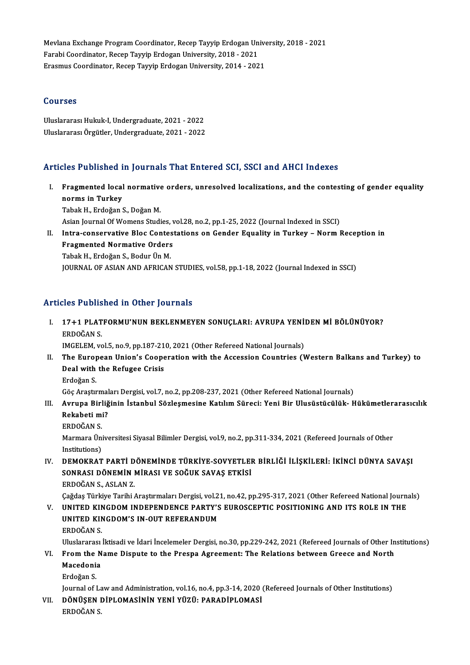Mevlana Exchange Program Coordinator, Recep Tayyip Erdogan University, 2018 - 2021<br>Farabi Coordinator, Bosen Tayyin Erdogan University, 2018 - 2021 Mevlana Exchange Program Coordinator, Recep Tayyip Erdogan Un<br>Farabi Coordinator, Recep Tayyip Erdogan University, 2018 - 2021<br>Fresmus Coordinator, Besen Teyyin Endogan University, 2014 - 202 Mevlana Exchange Program Coordinator, Recep Tayyip Erdogan Unive<br>Farabi Coordinator, Recep Tayyip Erdogan University, 2018 - 2021<br>Erasmus Coordinator, Recep Tayyip Erdogan University, 2014 - 2021 Erasmus Coordinator, Recep Tayyip Erdogan University, 2014 - 2021<br>Courses

Uluslararası Hukuk-I, Undergraduate, 2021 - 2022 UluslararasıÖrgütler,Undergraduate,2021 -2022

### Articles Published in Journals That Entered SCI, SSCI and AHCI Indexes

rticles Published in Journals That Entered SCI, SSCI and AHCI Indexes<br>I. Fragmented local normative orders, unresolved localizations, and the contesting of gender equality<br>Reame in Turkey norms in Turkey<br>Fragmented local<br>Tabel: H. Endežen i Fragmented local normative<br>norms in Turkey<br>Tabak H., Erdoğan S., Doğan M.<br>Asian Journal Of Wemens Studi norms in Turkey<br>Tabak H., Erdoğan S., Doğan M.<br>Asian Journal Of Womens Studies, vol.28, no.2, pp.1-25, 2022 (Journal Indexed in SSCI)<br>Intre-concervative Blos Contectations on Conder Fauelity in Turkey - Norm I Tabak H., Erdoğan S., Doğan M.<br>Asian Journal Of Womens Studies, vol.28, no.2, pp.1-25, 2022 (Journal Indexed in SSCI)<br>II. Intra-conservative Bloc Contestations on Gender Equality in Turkey – Norm Reception in<br>Fragmented No Asian Journal Of Womens Studies, v<br>Intra-conservative Bloc Contes<br>Fragmented Normative Orders<br>Tabak H. Erdeğan S. Podur Ün M Intra-conservative Bloc Contes<br>Fragmented Normative Orders<br>Tabak H., Erdoğan S., Bodur Ün M.<br>JOUPNAL OF ASIAN AND AFPICAN Fragmented Normative Orders<br>Tabak H., Erdoğan S., Bodur Ün M.<br>JOURNAL OF ASIAN AND AFRICAN STUDIES, vol.58, pp.1-18, 2022 (Journal Indexed in SSCI)

### Articles Published in Other Journals

rticles Published in Other Journals<br>I. 17+1 PLATFORMU'NUN BEKLENMEYEN SONUÇLARI: AVRUPA YENİDEN Mİ BÖLÜNÜYOR?<br>ERDOĞAN S 17+1 PLAT<br>ERDOĞAN S.<br>ERDOĞAN S. 17+1 PLATFORMU'NUN BEKLENMEYEN SONUÇLARI: AVRUPA YENİ<br>ERDOĞAN S.<br>IMGELEM, vol.5, no.9, pp.187-210, 2021 (Other Refereed National Journals)<br>The Europeen Union's Cooperation with the Assession Countries (V ERDOĞAN S.<br>IMGELEM, vol.5, no.9, pp.187-210, 2021 (Other Refereed National Journals)<br>II. The European Union's Cooperation with the Accession Countries (Western Balkans and Turkey) to

IMGELEM, vol.5, no.9, pp.187-21<br>The European Union's Coope<br>Deal with the Refugee Crisis<br>Erdežen S The Euro<sub>l</sub><br>Deal with<br>Erdoğan S. Deal with the Refugee Crisis<br>Erdoğan S.<br>Göç Araştırmaları Dergisi, vol.7, no.2, pp.208-237, 2021 (Other Refereed National Journals)<br>Aynung Birliğinin İstanbul Sözlesmesine Katılım Sünesi: Veni Bir Illysüstüsük, H Irdoğan S.<br>1. Göç Araştırmaları Dergisi, vol.7, no.2, pp.208-237, 2021 (Other Refereed National Journals)<br>1. III. Avrupa Birliğinin İstanbul Sözleşmesine Katılım Süreci: Yeni Bir Ulusüstücülük- Hükümetlerarasıcılık

### Göç Araştırmal<br><mark>Avrupa Birliğ</mark><br>Rekabeti mi?<br>EPDOČAN S Rekabeti mi?<br>ERDOĞAN S.

Rekabeti mi?<br>ERDOĞAN S.<br>Marmara Üniversitesi Siyasal Bilimler Dergisi, vol.9, no.2, pp.311-334, 2021 (Refereed Journals of Other<br>Institutions) ERDOĞAN S.<br>Marmara Üni<br>Institutions)<br>DEMOKRAT Marmara Üniversitesi Siyasal Bilimler Dergisi, vol.9, no.2, pp.311-334, 2021 (Refereed Journals of Other<br>Institutions)<br>IV. DEMOKRAT PARTİ DÖNEMİNDE TÜRKİYE-SOVYETLER BİRLİĞİ İLİŞKİLERİ: İKİNCİ DÜNYA SAVAŞI<br>SONRASI DÖNE

### Institutions)<br>DEMOKRAT PARTİ DÖNEMİNDE TÜRKİYE-SOVYETLEI<br>SONRASI DÖNEMİN MİRASI VE SOĞUK SAVAŞ ETKİSİ<br>FRDOĞAN S. ASLAN 7 D<mark>EMOKRAT PARTÍ D<br>SONRASI DÖNEMÍN I</mark><br>ERDOĞAN S., ASLAN Z.<br>Coğdes Türkiye Teribi SONRASI DÖNEMİN MİRASI VE SOĞUK SAVAŞ ETKİSİ<br>ERDOĞAN S., ASLAN Z.<br>Çağdaş Türkiye Tarihi Araştırmaları Dergisi, vol.21, no.42, pp.295-317, 2021 (Other Refereed National Journals)<br>UNITED KINCDOM INDERENDENCE RARTY'S EUROSCER

ERDOĞAN S., ASLAN Z.<br>Çağdaş Türkiye Tarihi Araştırmaları Dergisi, vol.21, no.42, pp.295-317, 2021 (Other Refereed National Journ.<br>V. UNITED KINGDOM'S IN OUT BEEERANDIM. Çağdaş Türkiye Tarihi Araştırmaları Dergisi, vol.2<br>UNITED KINGDOM INDEPENDENCE PARTY'S<br>UNITED KINGDOM'S IN-OUT REFERANDUM<br>EPDOČAN S V. UNITED KINGDOM INDEPENDENCE PARTY'S EUROSCEPTIC POSITIONING AND ITS ROLE IN THE UNITED KINGDOM'S IN-OUT REFERANDUM<br>ERDOĞAN S. UNITED KINGDOM'S IN-OUT REFERANDUM<br>ERDOĞAN S.<br>Uluslararası İktisadi ve İdari İncelemeler Dergisi, no.30, pp.229-242, 2021 (Refereed Journals of Other Institutions)<br>Enem the Neme Dispute to the Preene Agreement: The Peletio

### ERDOĞAN S.<br>Uluslararası İktisadi ve İdari İncelemeler Dergisi, no.30, pp.229-242, 2021 (Refereed Journals of Other In<br>VI. From the Name Dispute to the Prespa Agreement: The Relations between Greece and North<br>Magadania Uluslararası<br>From the N<br>Macedonia<br>Erdoğan S VI. From the Name Dispute to the Prespa Agreement: The Relations between Greece and North<br>Macedonia<br>Erdoğan S.

Journal of Law and Administration, vol.16, no.4, pp.3-14, 2020 (Refereed Journals of Other Institutions)

Erdoğan S.<br>Journal of Law and Administration, vol.16, no.4, pp.3-14, 2020<br>VII. DÖNÜŞEN DİPLOMASİNİN YENİ YÜZÜ: PARADİPLOMASİ<br>ERDOĞAN S Journal of La<br><mark>DÖNÜŞEN</mark> I<br>ERDOĞAN S.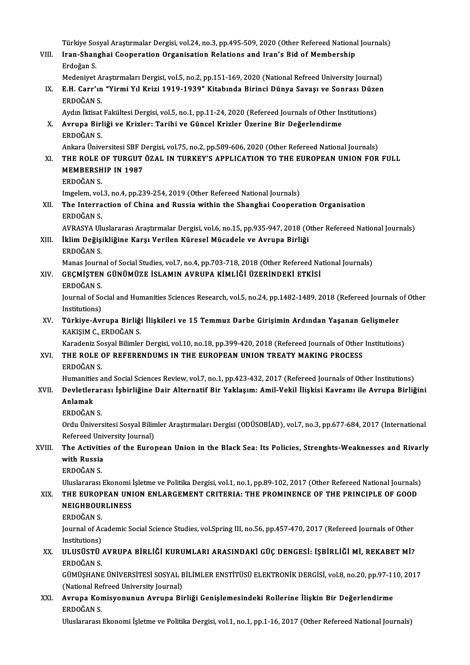- Türkiye Sosyal Araştırmalar Dergisi, vol.24, no.3, pp.495-509, 2020 (Other Refereed National Journals)<br>Inan Shanghai Cooperation Organisation Belations and Juan's Bid of Mambarshin Türkiye Sosyal Araştırmalar Dergisi, vol.24, no.3, pp.495-509, 2020 (Other Refereed Nationa<br>VIII. Iran-Shanghai Cooperation Organisation Relations and Iran's Bid of Membership Türkiye So:<br><mark>Iran-Shan</mark><br>Erdoğan S.<br>Medeniyet Iran-Shanghai Cooperation Organisation Relations and Iran's Bid of Membership<br>Erdoğan S.<br>Medeniyet Araştırmaları Dergisi, vol.5, no.2, pp.151-169, 2020 (National Refreed University Journal) Erdoğan S.<br>Medeniyet Araştırmaları Dergisi, vol.5, no.2, pp.151-169, 2020 (National Refreed University Journal)<br>IX. E.H. Carr'ın "Yirmi Yıl Krizi 1919-1939" Kitabında Birinci Dünya Savaşı ve Sonrası Düzen<br>FRDOČAN S Medeniyet A<br>**E.H. Carr'ın**<br>ERDOĞAN S.<br>Aydın İktisat E.H. Carr'ın "Yirmi Yıl Krizi 1919-1939" Kitabında Birinci Dünya Savaşı ve Sonrası Düze<br>ERDOĞAN S.<br>Aydın İktisat Fakültesi Dergisi, vol.5, no.1, pp.11-24, 2020 (Refereed Journals of Other Institutions)<br>Ayruna Birliği ve Kr ERDOĞAN S.<br>Aydın İktisat Fakültesi Dergisi, vol.5, no.1, pp.11-24, 2020 (Refereed Journals of Other Ir<br>X. Avrupa Birliği ve Krizler: Tarihi ve Güncel Krizler Üzerine Bir Değerlendirme<br>ERDOĞAN S. Aydın İktisat Fakültesi Dergisi, vol.5, no.1, pp.11-24, 2020 (Refereed Journals of Other Institutions) Avrupa Birliği ve Krizler: Tarihi ve Güncel Krizler Üzerine Bir Değerlendirme<br>ERDOĞAN S.<br>Ankara Üniversitesi SBF Dergisi, vol.75, no.2, pp.589-606, 2020 (Other Refereed National Journals)<br>THE BOLE OF TURCUT ÖZAL IN TURKEY' ERDOĞAN S.<br>Ankara Üniversitesi SBF Dergisi, vol.75, no.2, pp.589-606, 2020 (Other Refereed National Journals)<br>XI. THE ROLE OF TURGUT ÖZAL IN TURKEY'S APPLICATION TO THE EUROPEAN UNION FOR FULL<br>MEMPERSULP IN 1997 Ankara Üniversitesi SBF D<br>THE ROLE OF TURGUT<br>MEMBERSHIP IN 1987<br>EPDOČAN S THE ROLE <mark>(</mark><br>MEMBERSH<br>ERDOĞAN S.<br>Imgelem vol MEMBERSHIP IN 1987<br>ERDOĞAN S.<br>Imgelem, vol.3, no.4, pp.239-254, 2019 (Other Refereed National Journals) XII. The Interraction of China and Russia within the Shanghai Cooperation Organisation ERDOĞAN S AVRASYA Uluslararası Araştırmalar Dergisi, vol.6, no.15, pp.935-947, 2018 (Other Refereed National Journals) ERDOĞAN S.<br>AVRASYA Uluslararası Araştırmalar Dergisi, vol.6, no.15, pp.935-947, 2018 (O<br>XIII. İklim Değişikliğine Karşı Verilen Küresel Mücadele ve Avrupa Birliği AVRASYA Ul<mark>i</mark><br>İklim Değişi<br>ERDOĞAN S.<br>Manas Jaunn İklim Değişikliğine Karşı Verilen Küresel Mücadele ve Avrupa Birliği<br>ERDOĞAN S.<br>Manas Journal of Social Studies, vol.7, no.4, pp.703-718, 2018 (Other Refereed National Journals)<br>CECMİSTEN CÜNÜMÜZE İSLAMIN AVRURA KİMLİĞİ ÜZ ERDOĞAN S.<br>Manas Journal of Social Studies, vol.7, no.4, pp.703-718, 2018 (Other Refereed Na<br>XIV. GEÇMİŞTEN GÜNÜMÜZE İSLAMIN AVRUPA KİMLİĞİ ÜZERİNDEKİ ETKİSİ<br>ERDOĞAN S. Manas Journ<br>GECMISTEN<br>ERDOĞAN S.<br>Journal of So GEÇMİŞTEN GÜNÜMÜZE İSLAMIN AVRUPA KİMLİĞİ ÜZERİNDEKİ ETKİSİ<br>ERDOĞAN S.<br>Journal of Social and Humanities Sciences Research, vol.5, no.24, pp.1482-1489, 2018 (Refereed Journals of Other<br>Institutions) ERDOĞAN S.<br>Journal of So<br>Institutions)<br>Türkive Avr Journal of Social and Humanities Sciences Research, vol.5, no.24, pp.1482-1489, 2018 (Refereed Journals (Institutions)<br>XV. Türkiye-Avrupa Birliği İlişkileri ve 15 Temmuz Darbe Girişimin Ardından Yaşanan Gelişmeler<br>KAKISIM Institutions)<br>Türkiye-Avrupa Birliği İlişkileri ve 15 Temmuz Darbe Girişimin Ardından Yaşanan Gelişmeler<br>KAKIŞIM C., ERDOĞAN S. Türkiye-Avrupa Birliği İlişkileri ve 15 Temmuz Darbe Girişimin Ardından Yaşanan Gelişmeler<br>KAKIŞIM C., ERDOĞAN S.<br>Karadeniz Sosyal Bilimler Dergisi, vol.10, no.18, pp.399-420, 2018 (Refereed Journals of Other Institutions) KAKIŞIM C., ERDOĞAN S.<br>Karadeniz Sosyal Bilimler Dergisi, vol.10, no.18, pp.399-420, 2018 (Refereed Journals of Other<br>XVI. THE ROLE OF REFERENDUMS IN THE EUROPEAN UNION TREATY MAKING PROCESS THE ROLE OF REFERENDUMS IN THE EUROPEAN UNION TREATY MAKING PROCESS ERDOĞAN S. THE ROLE OF REFERENDUMS IN THE EUROPEAN UNION TREATY MAKING PROCESS<br>ERDOĞAN S.<br>Humanities and Social Sciences Review, vol.7, no.1, pp.423-432, 2017 (Refereed Journals of Other Institutions)<br>Dovlatlararası İsbirliğine Dair ERDOĞAN S.<br>Humanities and Social Sciences Review, vol.7, no.1, pp.423-432, 2017 (Refereed Journals of Other Institutions)<br>XVII. Devletlerarası İşbirliğine Dair Alternatif Bir Yaklaşım: Amil-Vekil İlişkisi Kavramı ile A Humanitie<br><mark>Devletler</mark><br>Anlamak<br>ERDOČAN Devletlerar<br>Anlamak<br>ERDOĞAN S. Anlamak<br>ERDOĞAN S.<br>Ordu Üniversitesi Sosyal Bilimler Araştırmaları Dergisi (ODÜSOBİAD), vol.7, no.3, pp.677-684, 2017 (International ERDOĞAN S.<br>Ordu Üniversitesi Sosyal Bilin<br>Refereed University Journal)<br>The Activities of the Euner Ordu Üniversitesi Sosyal Bilimler Araştırmaları Dergisi (ODÜSOBİAD), vol.7, no.3, pp.677-684, 2017 (International<br>Refereed University Journal)<br>XVIII. The Activities of the European Union in the Black Sea: Its Policies, Str Refereed University Journal)<br>The Activities of the European Union in the Black Sea: Its Policies, Strenghts-Weaknesses and Rivarly<br>with Russia ERDOĞANS. With Russia<br>ERDOĞAN S.<br>Uluslararası Ekonomi İşletme ve Politika Dergisi, vol.1, no.1, pp.89-102, 2017 (Other Refereed National Journals)<br>THE FUROPEAN UNION FNI ARCEMENT CRITERLA, THE RROMINENCE OF THE RRINCIRI E OF COOD ERDOĞAN S.<br>Uluslararası Ekonomi İşletme ve Politika Dergisi, vol.1, no.1, pp.89-102, 2017 (Other Refereed National Journals)<br>XIX. THE EUROPEAN UNION ENLARGEMENT CRITERIA: THE PROMINENCE OF THE PRINCIPLE OF GOOD<br>NEICHPO Uluslararası Ekonomi<br>THE EUROPEAN UNI<br>NEIGHBOURLINESS<br>EPDOČAN S THE EUROPEAN UNION ENLARGEMENT CRITERIA: THE PROMINENCE OF THE PRINCIPLE OF GOOD<br>NEIGHBOURLINESS<br>ERDOĞAN S. NEIGHBOURLINESS<br>ERDOĞAN S.<br>Journal of Academic Social Science Studies, vol.Spring III, no.56, pp.457-470, 2017 (Refereed Journals of Other<br>Institutions) ERDOĞAN S.<br>Journal of Ac<br>Institutions)<br>III HSÜSTÜ Journal of Academic Social Science Studies, vol.Spring III, no.56, pp.457-470, 2017 (Refereed Journals of Other<br>Institutions)<br>XX. ULUSÜSTÜ AVRUPA BİRLİĞİ KURUMLARI ARASINDAKİ GÜÇ DENGESİ: İŞBİRLİĞİ Mİ, REKABET Mİ?<br>ERDOĞAN Institutions)<br>XX. ULUSÜSTÜ AVRUPA BİRLİĞİ KURUMLARI ARASINDAKİ GÜÇ DENGESİ: İŞBİRLİĞİ Mİ, REKABET Mİ?<br>ERDOĞAN S. ULUSÜSTÜ AVRUPA BİRLİĞİ KURUMLARI ARASINDAKİ GÜÇ DENGESİ: İŞBİRLİĞİ Mİ, REKABET Mİ?<br>ERDOĞAN S.<br>GÜMÜŞHANE ÜNİVERSİTESİ SOSYAL BİLİMLER ENSTİTÜSÜ ELEKTRONİK DERGİSİ, vol.8, no.20, pp.97-110, 2017<br>(National Befreed University ERDOĞAN S.<br>GÜMÜŞHANE ÜNİVERSİTESİ SOSYAL E<br>(National Refreed University Journal)<br>Ayruna Komisyonunun Ayruna Bi
	- GÜMÜŞHANE ÜNİVERSİTESİ SOSYAL BİLİMLER ENSTİTÜSÜ ELEKTRONİK DERGİSİ, vol.8, no.20, pp.97-11<br>(National Refreed University Journal)<br>XXI. Avrupa Komisyonunun Avrupa Birliği Genişlemesindeki Rollerine İlişkin Bir Değerlend (National Refreed University Journal)<br>Avrupa Komisyonunun Avrupa Birliği Genişlemesindeki Rollerine İlişkin Bir Değerlendirme<br>ERDOĞAN S.

Uluslararası Ekonomi İşletme ve Politika Dergisi, vol.1, no.1, pp.1-16, 2017 (Other Refereed National Journals)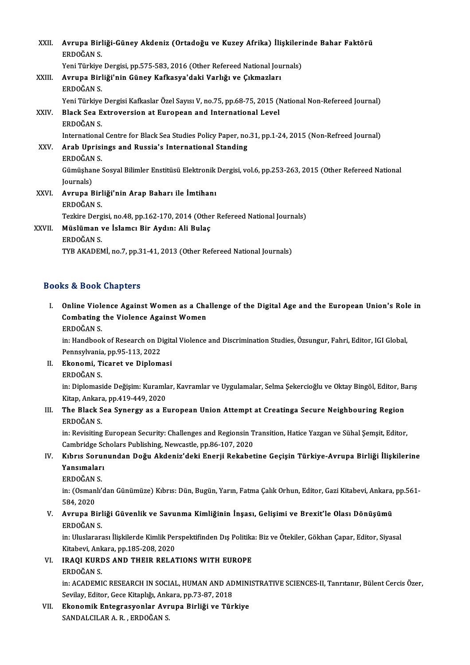| XXII.       | Avrupa Birliği-Güney Akdeniz (Ortadoğu ve Kuzey Afrika) İlişkilerinde Bahar Faktörü<br>ERDOĞAN S                      |
|-------------|-----------------------------------------------------------------------------------------------------------------------|
|             | Yeni Türkiye Dergisi, pp.575-583, 2016 (Other Refereed National Journals)                                             |
| XXIII.      | Avrupa Birliği'nin Güney Kafkasya'daki Varlığı ve Çıkmazları<br>ERDOĞAN S                                             |
|             | Yeni Türkiye Dergisi Kafkaslar Özel Sayısı V, no.75, pp.68-75, 2015 (National Non-Refereed Journal)                   |
| <b>XXIV</b> | Black Sea Extroversion at European and International Level<br>ERDOĞAN S                                               |
|             | International Centre for Black Sea Studies Policy Paper, no.31, pp.1-24, 2015 (Non-Refreed Journal)                   |
| XXV.        | Arab Uprisings and Russia's International Standing<br>ERDOĞAN S                                                       |
|             | Gümüşhane Sosyal Bilimler Enstitüsü Elektronik Dergisi, vol.6, pp.253-263, 2015 (Other Refereed National<br>Journals) |
| XXVI.       | Avrupa Birliği'nin Arap Baharı ile İmtihanı                                                                           |
|             | ERDOĞAN S                                                                                                             |
|             | Tezkire Dergisi, no 48, pp 162-170, 2014 (Other Refereed National Journals)                                           |
| XXVII.      | Müslüman ve İslamcı Bir Aydın: Ali Bulaç<br>ERDOĞAN S                                                                 |
|             | TYB AKADEMI, no.7, pp.31-41, 2013 (Other Refereed National Journals)                                                  |

### Books&Book Chapters

ooks & Book Chapters<br>I. Online Violence Against Women as a Challenge of the Digital Age and the European Union's Role in<br>Combating the Violence Against Women Combating the Violence Against Women as a Cha<br>Combating the Violence Against Women<br>EPDOČAN S Online Viole<br>Combating<br>ERDOĞAN S.<br>in: Handbool Combating the Violence Against Women<br>ERDOĞAN S.<br>in: Handbook of Research on Digital Violence and Discrimination Studies, Özsungur, Fahri, Editor, IGI Global,<br>Pennsylvania, pp.95,112, 2022

ERDOĞAN S.<br>in: Handbook of Research on D.<br>Pennsylvania, pp.95-113, 2022<br>Ekanomi, Tisarat ve Dinlom. in: Handbook of Research on Digit<br>Pennsylvania, pp.95-113, 2022<br>II. Ekonomi, Ticaret ve Diplomasi<br>EPDOČAN S

Pennsylvania<br><mark>Ekonomi, T</mark>i<br>ERDOĞAN S.<br>in: Dinlomasi

Ekonomi, Ticaret ve Diplomasi<br>ERDOĞAN S.<br>in: Diplomaside Değişim: Kuramlar, Kavramlar ve Uygulamalar, Selma Şekercioğlu ve Oktay Bingöl, Editor, Barış<br>Kitan, Ankara, pp.419,449,2020 ERDOĞAN S.<br>in: Diplomaside Değişim: Kuramla<br>Kitap, Ankara, pp.419-449, 2020<br>The Blask See Synergy es e E. in: Diplomaside Değişim: Kuramlar, Kavramlar ve Uygulamalar, Selma Şekercioğlu ve Oktay Bingöl, Editor, Ba<br>Kitap, Ankara, pp.419-449, 2020<br>III. The Black Sea Synergy as a European Union Attempt at Creatinga Secure Neighbou

# Kitap, Ankara<br>The Black S<br>ERDOĞAN S.<br>in: Perisiting

ERDOĞAN S.<br>in: Revisiting European Security: Challenges and Regionsin Transition, Hatice Yazgan ve Sühal Şemşit, Editor, ERDOĞAN S.<br>in: Revisiting European Security: Challenges and Regionsin T<br>Cambridge Scholars Publishing, Newcastle, pp.86-107, 2020<br>Kıhrıs Serunundan Değu, Akdeniz'deki Enerii Bekabet in: Revisiting European Security: Challenges and Regionsin Transition, Hatice Yazgan ve Sühal Şemşit, Editor,<br>Cambridge Scholars Publishing, Newcastle, pp.86-107, 2020<br>IV. Kıbrıs Sorunundan Doğu Akdeniz'deki Enerji Rekabet

## Cambridge Sc<br>Kıbrıs Sorur<br>Yansımaları<br>EPDOČAN S Kıbrıs Soru<br>Yansımaları<br>ERDOĞAN S.<br>in: (Qamanlı'

ERDOĞAN S

Yansımaları<br>ERDOĞAN S.<br>in: (Osmanlı'dan Günümüze) Kıbrıs: Dün, Bugün, Yarın, Fatma Çalık Orhun, Editor, Gazi Kitabevi, Ankara, pp.561-<br>584, 2020 in: (Osmanlı'dan Günümüze) Kıbrıs: Dün, Bugün, Yarın, Fatma Çalık Orhun, Editor, Gazi Kitabevi, Ankara,<br>584, 2020<br>V. Avrupa Birliği Güvenlik ve Savunma Kimliğinin İnşası, Gelişimi ve Brexit'le Olası Dönüşümü<br>ERDOČAN S

## 584, 2020<br>**Avrupa Birl<br>ERDOĞAN S.<br>in: Uluslarar** Avrupa Birliği Güvenlik ve Savunma Kimliğinin İnşası, Gelişimi ve Brexit'le Olası Dönüşümü<br>ERDOĞAN S.<br>in: Uluslararası İlişkilerde Kimlik Perspektifinden Dış Politika: Biz ve Ötekiler, Gökhan Çapar, Editor, Siyasal<br>Kitabay

ERDOĞAN S.<br>in: Uluslararası İlişkilerde Kimlik Per<br>Kitabevi, Ankara, pp.185-208, 2020<br>IRAOL KURDS AND THEIR RELA. Kitabevi, Ankara, pp.185-208, 2020

### VI. IRAQI KURDS AND THEIR RELATIONS WITH EUROPE<br>ERDOĞAN S.

IRAQI KURDS AND THEIR RELATIONS WITH EUROPE<br>ERDOĞAN S.<br>in: ACADEMIC RESEARCH IN SOCIAL, HUMAN AND ADMINISTRATIVE SCIENCES-II, Tanrıtanır, Bülent Cercis Özer,<br>Sevilav Editan Cese Kitankğı Ankara pp.72.97.2019 ERDOĞAN S.<br>in: ACADEMIC RESEARCH IN SOCIAL, HUMAN AND AD<br>Sevilay, Editor, Gece Kitaplığı, Ankara, pp.73-87, 2018<br>Ekanomik Entegnasyonlar, Ayruna, Birliği ve Tür in: ACADEMIC RESEARCH IN SOCIAL, HUMAN AND ADMINI<br>Sevilay, Editor, Gece Kitaplığı, Ankara, pp.73-87, 2018<br>VII. Ekonomik Entegrasyonlar Avrupa Birliği ve Türkiye<br>SANDALCU AR A-R - ERDOČAN S

Sevilay, Editor, Gece Kitaplığı, Ank<br><mark>Ekonomik Entegrasyonlar Avr</mark><br>SANDALCILAR A. R. , ERDOĞAN S.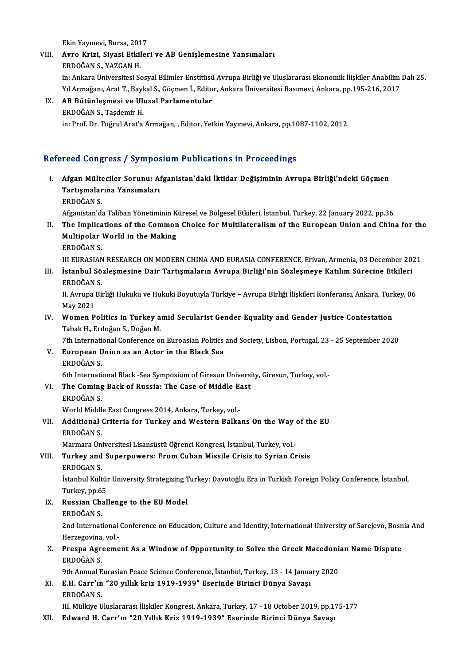Ekin Yayınevi, Bursa, 2017

## Ekin Yayınevi, Bursa, 2017<br>VIII. Avro Krizi, Siyasi Etkileri ve AB Genişlemesine Yansımaları<br>FRDQĞAN S. YAZÇAN H Ekin Yayınevi, Bursa, 201<br><mark>Avro Krizi, Siyasi Etkil</mark><br>ERDOĞAN S., YAZGAN H.<br>in: Arkare Üniversitesi Se

Avro Krizi, Siyasi Etkileri ve AB Genişlemesine Yansımaları<br>ERDOĞAN S., YAZGAN H.<br>in: Ankara Üniversitesi Sosyal Bilimler Enstitüsü Avrupa Birliği ve Uluslararası Ekonomik İlişkiler Anabilim Dalı 25.<br>Yıl Armağanı Aret T. B ERDOĞAN S., YAZGAN H.<br>in: Ankara Üniversitesi Sosyal Bilimler Enstitüsü Avrupa Birliği ve Uluslararası Ekonomik İlişkiler Anabilim<br>Yıl Armağanı, Arat T., Baykal S., Göçmen İ., Editor, Ankara Üniversitesi Basımevi, Ankara, Yıl Armağanı, Arat T., Baykal S., Göçmen İ., Editor, Ankara Üniversitesi Basımevi, Ankara, pp.195-216, 2017<br>IX. AB Bütünleşmesi ve Ulusal Parlamentolar

ERDOĞAN S., Taşdemir H. in:Prof.Dr.TuğrulArat'aArmağan, ,Editor,YetkinYayınevi,Ankara,pp.1087-1102,2012

### Refereed Congress / Symposium Publications in Proceedings

efereed Congress / Symposium Publications in Proceedings<br>I. Afgan Mülteciler Sorunu: Afganistan'daki İktidar Değişiminin Avrupa Birliği'ndeki Göçmen<br>Tartısmalarına Yanaymaları Tood dongross 7 sympod<br>Afgan Mülteciler Sorunu: Af<br>Tartışmalarına Yansımaları Afgan Mülte<br>Tartışmalar<br>ERDOĞAN S.<br>Afganistan'dı Tartışmalarına Yansımaları<br>ERDOĞAN S.<br>Afganistan'da Taliban Yönetiminin Küresel ve Bölgesel Etkileri, İstanbul, Turkey, 22 January 2022, pp.36

II. The Implications of the Common Choice for Multilateralism of the European Union and China for the Afganistan'da Taliban Yönetiminin K<br>The Implications of the Common<br>Multipolar World in the Making<br>EPDOČAN S The Implica<br>Multipolar<br>ERDOĞAN S.<br>III EUPASIAN Multipolar World in the Making<br>ERDOĞAN S.<br>III EURASIAN RESEARCH ON MODERN CHINA AND EURASIA CONFERENCE, Erivan, Armenia, 03 December 2021<br>İstanbul Sözlesmesine Dair Textismaların Ayruna Birliği'nin Sözlesmeye Katılım Süres

ERDOĞAN S.<br>III EURASIAN RESEARCH ON MODERN CHINA AND EURASIA CONFERENCE, Erivan, Armenia, 03 December 20:<br>III. İstanbul Sözleşmesine Dair Tartışmaların Avrupa Birliği'nin Sözleşmeye Katılım Sürecine Etkileri<br>EPDOČAN S III EURASIAN<br>İstanbul Sö<br>ERDOĞAN S.<br>II Ayruna Bi İstanbul Sözleşmesine Dair Tartışmaların Avrupa Birliği'nin Sözleşmeye Katılım Sürecine Etkileri<br>ERDOĞAN S.<br>II. Avrupa Birliği Hukuku ve Hukuki Boyutuyla Türkiye – Avrupa Birliği İlişkileri Konferansı, Ankara, Turkey, 06<br>M

ERDOĞAN<br>II. Avrupa l<br>May 2021<br>Woman B II. Avrupa Birliği Hukuku ve Hukuki Boyutuyla Türkiye – Avrupa Birliği İlişkileri Konferansı, Ankara, Turl<br>May 2021<br>IV. Women Politics in Turkey amid Secularist Gender Equality and Gender Justice Contestation<br>Tabak H.

May 2021<br>Women Politics in Turkey a<br>Tabak H., Erdoğan S., Doğan M.<br><sup>7th International Conference al</sup> Women Politics in Turkey amid Secularist Gender Equality and Gender Justice Contestation<br>Tabak H., Erdoğan S., Doğan M.<br>7th International Conference on Euroasian Politics and Society, Lisbon, Portugal, 23 - 25 September 20

Tabak H., Erdoğan S., Doğan M.<br>7th International Conference on Euroasian Politics<br>V. European Union as an Actor in the Black Sea<br>EPDOČAN S 7th Internati<br>European U<br>ERDOĞAN S.<br><sup>6th Internati</sup> European Union as an Actor in the Black Sea<br>ERDOĞAN S.<br>6th International Black-Sea Symposium of Giresun University, Giresun, Turkey, vol.-<br>The Coming Boek of Bussie: The Case of Middle Fest.

- ERDOĞAN S.<br>6th International Black -Sea Symposium of Giresun Universi<br>VI. The Coming Back of Russia: The Case of Middle East<br>EPDOĞAN S
	- 6th Internation<br>The Coming<br>ERDOĞAN S.<br>World Middl The Coming Back of Russia: The Case of Middle East Congress 2014, Ankara, Turkey, vol.-<br>World Middle East Congress 2014, Ankara, Turkey, vol.-
- ERDOĞAN S.<br>World Middle East Congress 2014, Ankara, Turkey, vol.-<br>VII. Additional Criteria for Turkey and Western Balkans On the Way of the EU<br>ERDOĞAN S World Middle<br>Additional<br>ERDOĞAN S.<br>Marmara Ün Additional Criteria for Turkey and Western Balkans On the Way (<br>ERDOĞAN S.<br>Marmara Üniversitesi Lisansüstü Öğrenci Kongresi, İstanbul, Turkey, vol.-<br>Turkey and Sunernowers: Erom Cuban Missile Crisis to Syrian Cr

### ERDOĞAN S.<br>Marmara Üniversitesi Lisansüstü Öğrenci Kongresi, İstanbul, Turkey, vol.-<br>VIII. Turkey and Superpowers: From Cuban Missile Crisis to Syrian Crisis<br>ERDOGAN S. Marmara Ün:<br>**Turkey and<br>ERDOGAN S.**<br>İstanbul Kült

Turkey and Superpowers: From Cuban Missile Crisis to Syrian Crisis<br>ERDOGAN S.<br>İstanbul Kültür University Strategizing Turkey: Davutoğlu Era in Turkish Foreign Policy Conference, İstanbul,<br>Turkey nn 65 ERDOGAN S.<br>İstanbul Kültür<br>Turkey, pp.65<br>Pussian Chal Istanbul Kültür University Strategizing T<br>Turkey, pp.65<br>IX. Russian Challenge to the EU Model

# Turkey, pp.6!<br>Russian Ch.<br>ERDOĞAN S.<br>2nd Internat

Russian Challenge to the EU Model<br>ERDOĞAN S.<br>2nd International Conference on Education, Culture and Identity, International University of Sarejevo, Bosnia And ERDOĞAN S.<br>2nd International<br>Herzegovina, vol.-<br>Presna, Asreeme 2nd International Conference on Education, Culture and Identity, International University of Sarejevo, Bosn<br>Herzegovina, vol.-<br>X. Prespa Agreement As a Window of Opportunity to Solve the Greek Macedonian Name Dispute<br>ERDOČ

## Herzegovina<br><mark>Prespa Agr</mark>e<br>ERDOĞAN S.<br><sup>Otb Annual E</sup> Prespa Agreement As a Window of Opportunity to Solve the Greek Macedoni<br>ERDOĞAN S.<br>9th Annual Eurasian Peace Science Conference, İstanbul, Turkey, 13 - 14 January 2020<br>E.H. Canr'ın "30 yıllık kriz 1919, 1930" Eseninde Biri

9th Annual Eurasian Peace Science Conference, İstanbul, Turkey, 13 - 14 January 2020

ERDOĞAN S.<br>9th Annual Eurasian Peace Science Conference, İstanbul, Turkey, 13 - 14 Janua<br>XI. E.H. Carr'ın "20 yıllık kriz 1919-1939" Eserinde Birinci Dünya Savaşı<br>ERDOĞAN S.

III. Mülkiye Uluslararası İlişkiler Kongresi, Ankara, Turkey, 17 - 18 October 2019, pp.175-177

XII. Edward H. Carr'ın "20 Yıllık Kriz 1919-1939" Eserinde Birinci Dünya Savaşı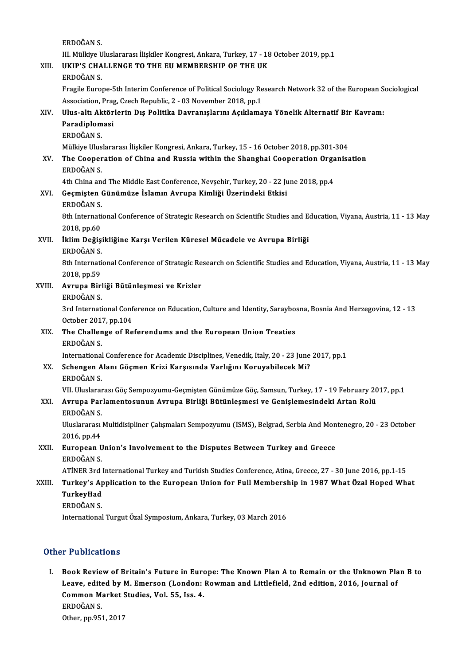ERDOĞANS.

ERDOĞAN S.<br>III. Mülkiye Uluslararası İlişkiler Kongresi, Ankara, Turkey, 17 - 18 October 2019, pp.1<br>UKIP'S GHALLENCE TO THE FILMEMPERSHIR OF THE UK

ERDOĞAN S.<br>III. Mülkiye Uluslararası İlişkiler Kongresi, Ankara, Turkey, 17 - 18<br>XIII. UKIP'S CHALLENGE TO THE EU MEMBERSHIP OF THE UK

III. Mülkiye U<br><mark>UKIP'S CHA</mark><br>ERDOĞAN S.<br>Eragila Eurol

UKIP'S CHALLENGE TO THE EU MEMBERSHIP OF THE UK<br>ERDOĞAN S.<br>Fragile Europe-5th Interim Conference of Political Sociology Research Network 32 of the European Sociological<br>Association, Brag, Croch Bopyblic, 2, .03 November 20 ERDOĞAN S.<br>Fragile Europe-5th Interim Conference of Political Sociology Re<br>Association, Prag, Czech Republic, 2 - 03 November 2018, pp.1<br>Illus, altı Aktörlerin Dış Politika Dayranıslarını Asıklama Fragile Europe-5th Interim Conference of Political Sociology Research Network 32 of the European S<br>Association, Prag, Czech Republic, 2 - 03 November 2018, pp.1<br>XIV. Ulus-altı Aktörlerin Dış Politika Davranışlarını Açıklam

Association, Prag<br>Ulus-altı Aktör<br>Paradiplomasi<br>EPDOČAN S Ulus-altı Ak<br>Paradiplom<br>ERDOĞAN S.<br>Mülkive Ulus

Paradiplomasi<br>ERDOĞAN S.<br>Mülkiye Uluslararası İlişkiler Kongresi, Ankara, Turkey, 15 - 16 October 2018, pp.301-304<br>The Cooperation of China and Bussia within the Shanghai Cooperation Organiss

### ERDOĞAN S.<br>Mülkiye Uluslararası İlişkiler Kongresi, Ankara, Turkey, 15 - 16 October 2018, pp.301-304<br>XV. The Cooperation of China and Russia within the Shanghai Cooperation Organisation<br>ERDOĞAN S Mülkiye Ulus<br>**The Cooper<br>ERDOĞAN S.**<br>4th Chine an The Cooperation of China and Russia within the Shanghai Cooperation Orga<br>ERDOĞAN S.<br>4th China and The Middle East Conference, Nevşehir, Turkey, 20 - 22 June 2018, pp.4<br>Coomisten Cünümüze İslamın Ayruna Kimliği Üzerindeki E

ERDOĞAN S.<br>4th China and The Middle East Conference, Nevşehir, Turkey, 20 - 22 Ju<br>XVI. Geçmişten Günümüze İslamın Avrupa Kimliği Üzerindeki Etkisi 4th China an<br>Geçmişten (<br>ERDOĞAN S.<br><sup>9th Internati</sub></sup>

ERDOĞAN S

8th International Conference of Strategic Research on Scientific Studies and Education, Viyana, Austria, 11 - 13 May<br>2018, pp.60 8th International Conference of Strategic Research on Scientific Studies and E<br>2018, pp.60<br>XVII. İklim Değişikliğine Karşı Verilen Küresel Mücadele ve Avrupa Birliği<br>ERROČAN S

# 2018, pp.60<br>İklim Değişi<br>ERDOĞAN S.

İklim Değişikliğine Karşı Verilen Küresel Mücadele ve Avrupa Birliği<br>ERDOĞAN S.<br>8th International Conference of Strategic Research on Scientific Studies and Education, Viyana, Austria, 11 - 13 May<br>2018.np.50 ERDOĞAN S.<br>8th Internati<br>2018, pp.59<br>Auruna Birl 8th International Conference of Strategic Re<br>2018, pp.59<br>XVIII. **Avrupa Birliği Bütünleşmesi ve Krizler**<br>ERDOČAN S

2018, pp.59<br>Avrupa Birliği Bütünleşmesi ve Krizler<br>ERDOĞAN S. Avrupa Birliği Bütünleşmesi ve Krizler<br>ERDOĞAN S.<br>3rd International Conference on Education, Culture and Identity, Saraybosna, Bosnia And Herzegovina, 12 - 13<br>Osteber 2017, pp.104 ERDOĞAN S.<br>3rd International Conf<br>October 2017, pp.104<br>The Challenge of Be 3rd International Conference on Education, Culture and Identity, Saraybor<br>October 2017, pp.104<br>XIX. The Challenge of Referendums and the European Union Treaties

# October 2017, pp.104<br>The Challenge of Referendums and the European Union Treaties<br>ERDOĞAN S.

International Conference for Academic Disciplines, Venedik, Italy, 20 - 23 June 2017, pp.1

## ERDOĞAN S.<br>International Conference for Academic Disciplines, Venedik, Italy, 20 - 23 June<br>XX. Schengen Alanı Göçmen Krizi Karşısında Varlığını Koruyabilecek Mi?<br>ERDOĞAN S International<br>Schengen A<br>ERDOĞAN S.<br>VII Uluelarar

ERDOĞAN S.<br>VII. Uluslararası Göç Sempozyumu-Geçmişten Günümüze Göç, Samsun, Turkey, 17 - 19 February 2017, pp.1

### ERDOĞAN S.<br>19 February 20 VII. Uluslararası Göç Sempozyumu-Geçmişten Günümüze Göç, Samsun, Turkey, 17 - 19 February<br>19 KXI. Avrupa Parlamentosunun Avrupa Birliği Bütünleşmesi ve Genişlemesindeki Artan Rolü VII. Uluslarar<br><mark>Avrupa Par</mark><br>ERDOĞAN S. Avrupa Parlamentosunun Avrupa Birliği Bütünleşmesi ve Genişlemesindeki Artan Rolü<br>ERDOĞAN S.<br>Uluslararası Multidisipliner Çalışmaları Sempozyumu (ISMS), Belgrad, Serbia And Montenegro, 20 - 23 October<br>2016.np.44

ERDOĞAN S.<br>Uluslararası<br>2016, pp.44<br>European J Uluslararası Multidisipliner Çalışmaları Sempozyumu (ISMS), Belgrad, Serbia And Mon<br>2016, pp.44<br>XXII. European Union's Involvement to the Disputes Between Turkey and Greece

## 2016, pp.44<br>European U<br>ERDOĞAN S.<br>ATİNER 2rd European Union's Involvement to the Disputes Between Turkey and Greece<br>ERDOĞAN S.<br>ATİNER 3rd International Turkey and Turkish Studies Conference, Atina, Greece, 27 - 30 June 2016, pp.1-15<br>Turkov's Applisation to the Europe

### ERDOĞAN S.<br>ATİNER 3rd International Turkey and Turkish Studies Conference, Atina, Greece, 27 - 30 June 2016, pp.1-15<br>XXIII. Turkey's Application to the European Union for Full Membership in 1987 What Özal Hoped What<br>Tu ATİNER 3rd |<br><mark>Turkey's A</mark>p<br>TurkeyHad<br>EPDOČAN S Turkey's Application to the European Union for Full Membership in 1987 What Özal Hoped What<br>TurkeyHad<br>ERDOĞAN S.

InternationalTurgutÖzalSymposium,Ankara,Turkey,03March 2016

### Other Publications

ther Publications<br>I. Book Review of Britain's Future in Europe: The Known Plan A to Remain or the Unknown Plan B to<br>I gave adited by M. Emerson (London: Bowman and Littlefield, 2nd edition, 2016, Jownal of Leaustections<br>Book Review of Britain's Future in Europe: The Known Plan A to Remain or the Unknown Pla<br>Leave, edited by M. Emerson (London: Rowman and Littlefield, 2nd edition, 2016, Journal of Book Review of Britain's Future in Euro<br>Leave, edited by M. Emerson (London:<br>Common Market Studies, Vol. 55, Iss. 4.<br>EPDOČAN S Leave, edite<br>Common M:<br>ERDOĞAN S.<br>Other pp.95 Common Market !<br>ERDOĞAN S.<br>Other, pp.951, 2017